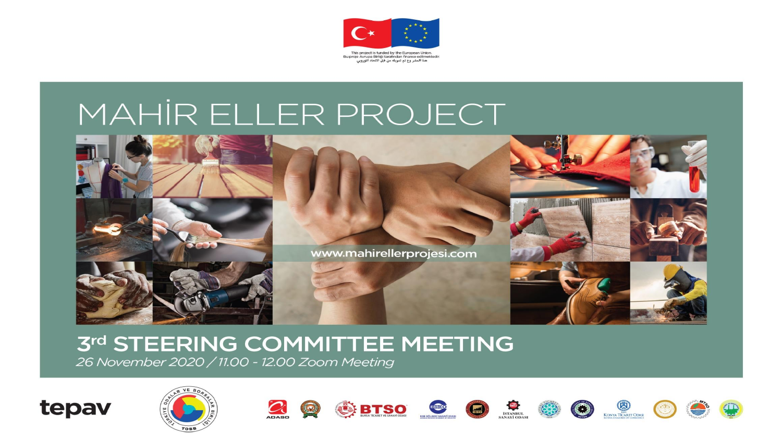

# MAHIR ELLER PROJECT



### 3rd STEERING COMMITTEE MEETING

26 November 2020 / 11.00 - 12.00 Zoom Meeting





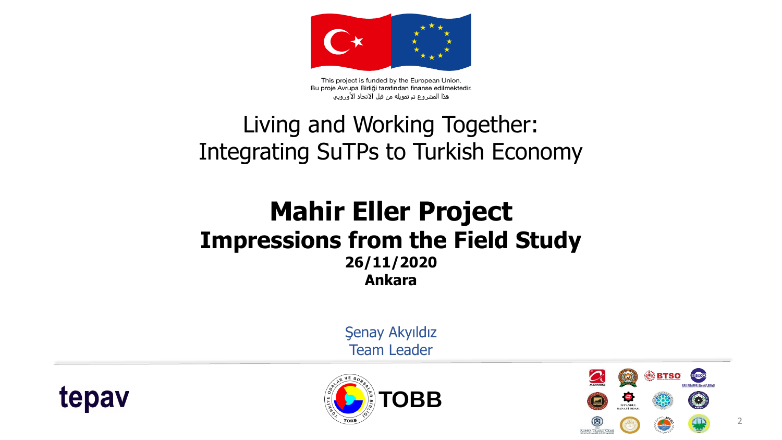

This project is funded by the European Union. Bu proje Avrupa Birliği tarafından finanse edilmektedir. هذا المشروع تم تمويله من قبل الاتحاد الأوروبي

### Living and Working Together: Integrating SuTPs to Turkish Economy

#### **Mahir Eller Project Impressions from the Field Study 26/11/2020 Ankara**

Şenay Akyıldız Team Leader





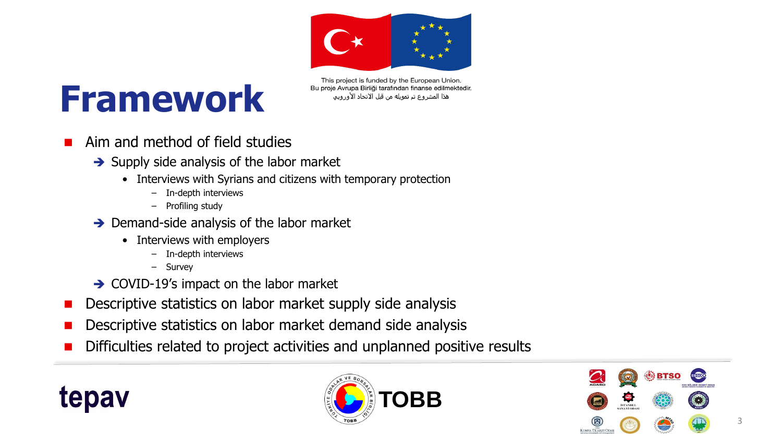

# **Framework**

This project is funded by the European Union. Bu proje Avrupa Birliği tarafından finanse edilmektedir. هذا المشروع تم تمويله من قبل الاتحاد الأوروبي

- Aim and method of field studies
	- $\rightarrow$  Supply side analysis of the labor market
		- Interviews with Syrians and citizens with temporary protection
			- In-depth interviews
			- Profiling study
	- $\rightarrow$  Demand-side analysis of the labor market
		- Interviews with employers
			- In-depth interviews
			- Survey
	- $\rightarrow$  COVID-19's impact on the labor market
- Descriptive statistics on labor market supply side analysis
- Descriptive statistics on labor market demand side analysis
- Difficulties related to project activities and unplanned positive results





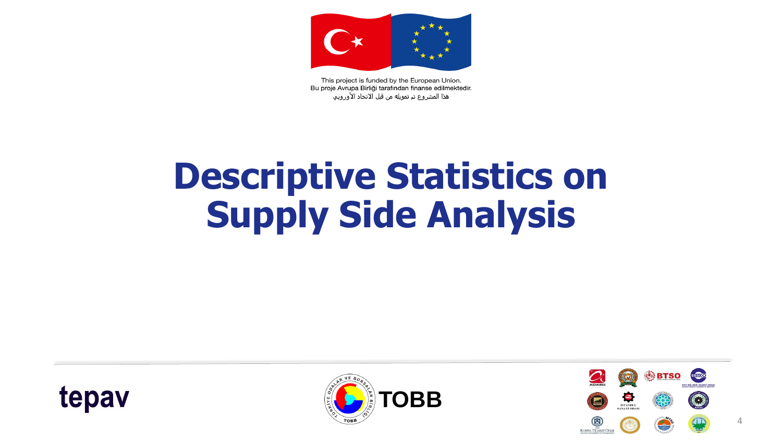

This project is funded by the European Union. Bu proje Avrupa Birliği tarafından finanse edilmektedir. هذا المشروع تم تمويله من قبل الاتحاد الأوروبي

# **Descriptive Statistics on Supply Side Analysis**





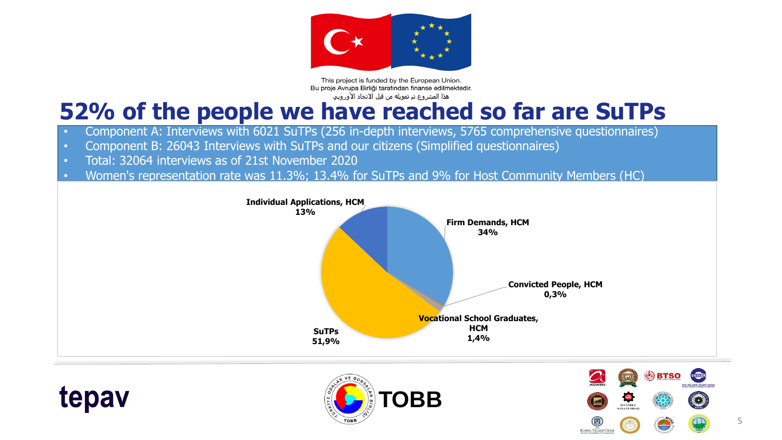

This project is funded by the European Union. Bu proje Avrupa Birliği tarafından finanse edilmektedir. هذا المشروع تم تمويله من قبل الاتحاد الأوروبي

### **52% of the people we have reached so far are SuTPs**

- Component A: Interviews with 6021 SuTPs (256 in-depth interviews, 5765 comprehensive questionnaires)
- Component B: 26043 Interviews with SuTPs and our citizens (Simplified questionnaires)
- Total: 32064 interviews as of 21st November 2020

tepav

• Women's representation rate was 11.3%; 13.4% for SuTPs and 9% for Host Community Members (HC)



**TOBB**



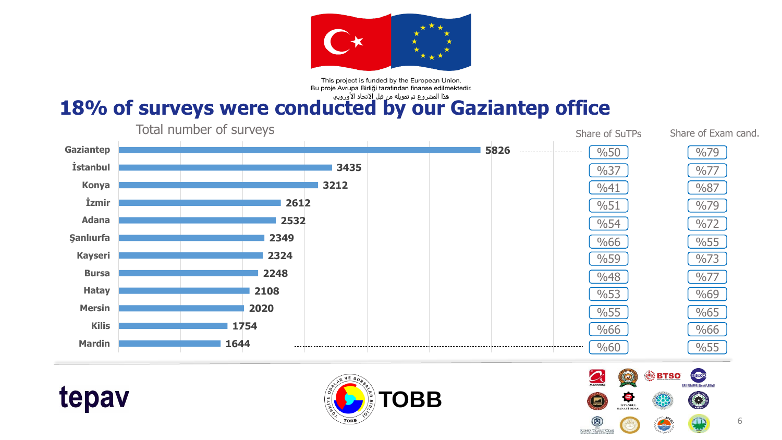

This project is funded by the European Union. Bu proje Avrupa Birliği tarafından finanse edilmektedir.

### 18% of surveys were conducted by our Gaziantep office







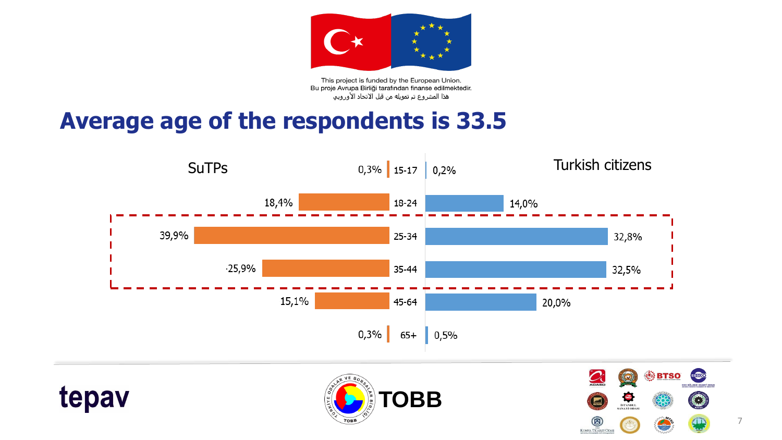

This project is funded by the European Union. Bu proje Avrupa Birliği tarafından finanse edilmektedir. هذا المشروع تم تمويله من قبل الاتحاد الأوروبي ُ

### **Average age of the respondents is 33.5**









7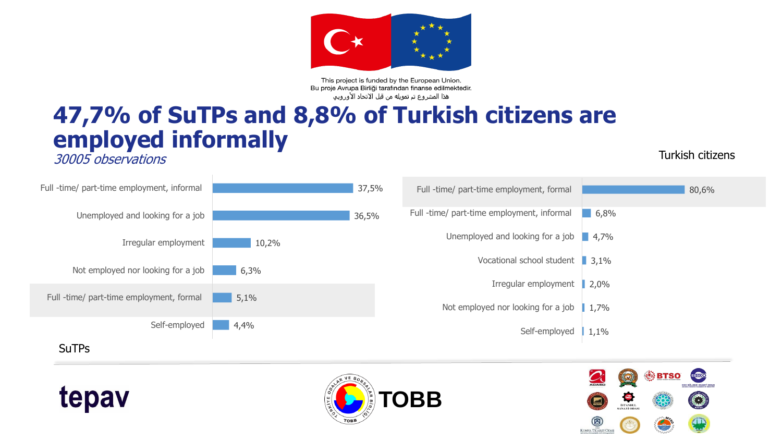

This project is funded by the European Union. Bu proje Avrupa Birliği tarafından finanse edilmektedir. هذا المشروع تم تمويله من قبل الاتحاد الأوروبي ُ

### **47,7% of SuTPs and 8,8% of Turkish citizens are employed informally**

30005 observations

tepav

Turkish citizens

| Full -time/ part-time employment, informal |       | 37,5% | Full -time/ part-time employment, formal             |      | 80,6% |
|--------------------------------------------|-------|-------|------------------------------------------------------|------|-------|
| Unemployed and looking for a job           |       | 36,5% | Full -time/ part-time employment, informal           | 6,8% |       |
| Irregular employment                       | 10,2% |       | Unemployed and looking for a job $\blacksquare$ 4,7% |      |       |
| Not employed nor looking for a job         | 6,3%  |       | Vocational school student 3,1%                       |      |       |
| Full -time/ part-time employment, formal   | 5,1%  |       | Irregular employment                                 | 2,0% |       |
|                                            |       |       | Not employed nor looking for a job                   | 1,7% |       |
| Self-employed                              | 4,4%  |       | Self-employed                                        | 1,1% |       |
| <b>SuTPs</b>                               |       |       |                                                      |      |       |



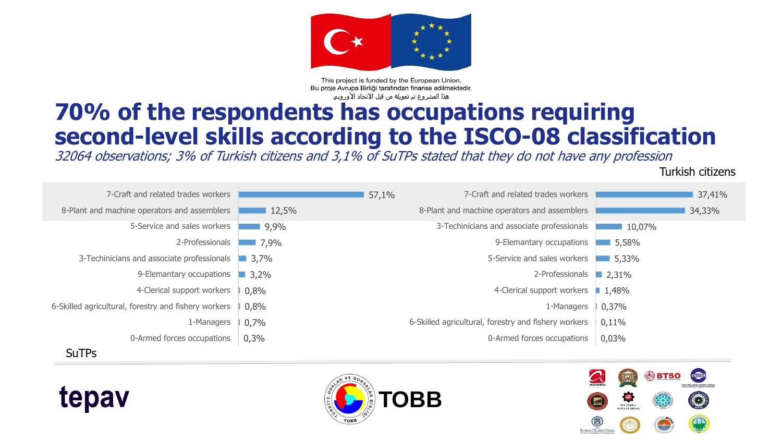

This project is funded by the European Union. Bu proje Avrupa Birliği tarafından finanse edilmektedir. هذا المشروع تم تمويله من قبل الاتحاد الأوروبي

### **70% of the respondents has occupations requiring second-level skills according to the ISCO-08 classification**

32064 observations; 3% of Turkish citizens and 3,1% of SuTPs stated that they do not have any profession

Turkish citizens

| 7-Craft and related trades workers                   |             | 57,1% | 7-Craft and related trades workers                   |        | 37,41% |
|------------------------------------------------------|-------------|-------|------------------------------------------------------|--------|--------|
| 8-Plant and machine operators and assemblers         | 12,5%       |       | 8-Plant and machine operators and assemblers         |        | 34,33% |
| 5-Service and sales workers                          | 9,9%        |       | 3-Techinicians and associate professionals           | 10,07% |        |
| 2-Professionals                                      | 7,9%        |       | 9-Elemantary occupations                             | 5,58%  |        |
| 3-Techinicians and associate professionals 3,7%      |             |       | 5-Service and sales workers                          | 5,33%  |        |
| 9-Elemantary occupations                             | $\Box$ 3,2% |       | 2-Professionals 2,31%                                |        |        |
| 4-Clerical support workers                           | 0,8%        |       | 4-Clerical support workers                           | 1,48%  |        |
| 6-Skilled agricultural, forestry and fishery workers | 0,8%        |       | 1-Managers                                           | 0,37%  |        |
| 1-Managers                                           | 0,7%        |       | 6-Skilled agricultural, forestry and fishery workers | 0,11%  |        |
| 0-Armed forces occupations                           | 0,3%        |       | 0-Armed forces occupations                           | 0,03%  |        |
| <b>SuTPs</b>                                         |             |       |                                                      |        |        |





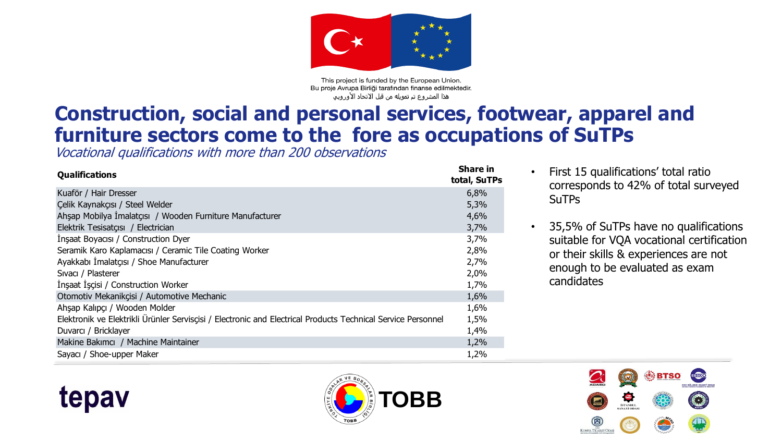

This project is funded by the European Union. Bu proje Avrupa Birliği tarafından finanse edilmektedir. هذا المشروع تم تمويله من قبل الاتحاد الأوروبي

#### **Construction, social and personal services, footwear, apparel and furniture sectors come to the fore as occupations of SuTPs**

Vocational qualifications with more than 200 observations

| <b>Qualifications</b>                                                                                        | <b>Share in</b><br>total, SuTPs |
|--------------------------------------------------------------------------------------------------------------|---------------------------------|
| Kuaför / Hair Dresser                                                                                        | 6,8%                            |
| Celik Kaynakçısı / Steel Welder                                                                              | 5,3%                            |
| Ahsap Mobilya Imalatçısı / Wooden Furniture Manufacturer                                                     | 4,6%                            |
| Elektrik Tesisatçısı / Electrician                                                                           | 3,7%                            |
| Insaat Boyacisi / Construction Dyer                                                                          | 3,7%                            |
| Seramik Karo Kaplamacısı / Ceramic Tile Coating Worker                                                       | 2,8%                            |
| Ayakkabı İmalatçısı / Shoe Manufacturer                                                                      | 2,7%                            |
| Sivaci / Plasterer                                                                                           | 2,0%                            |
| Insaat Iscisi / Construction Worker                                                                          | 1,7%                            |
| Otomotiv Mekanikçisi / Automotive Mechanic                                                                   | 1,6%                            |
| Ahşap Kalıpçı / Wooden Molder                                                                                | 1,6%                            |
| Elektronik ve Elektrikli Ürünler Servisçisi / Electronic and Electrical Products Technical Service Personnel | 1,5%                            |
| Duvarci / Bricklayer                                                                                         | 1,4%                            |
| Makine Bakımcı / Machine Maintainer                                                                          | 1,2%                            |
| Sayacı / Shoe-upper Maker                                                                                    | 1,2%                            |

- First 15 qualifications' total ratio corresponds to 42% of total surveyed **SuTPs**
- 35,5% of SuTPs have no qualifications suitable for VQA vocational certification or their skills & experiences are not enough to be evaluated as exam candidates





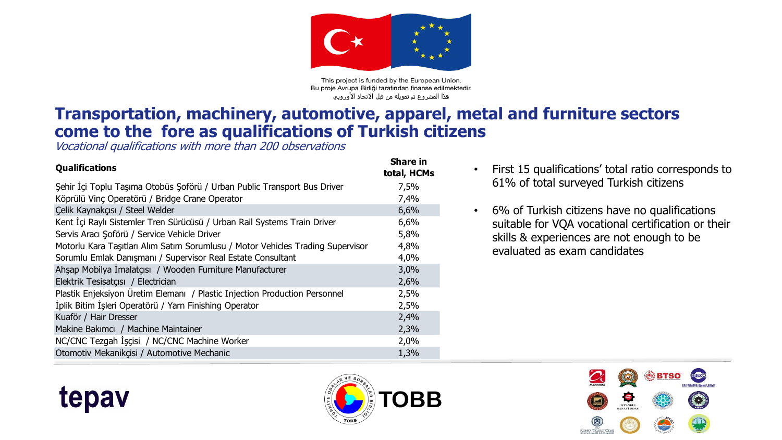

This project is funded by the European Union. Bu proje Avrupa Birliği tarafından finanse edilmektedir. هذا المشروع تم تمويله من قبل الاتحاد الأوروبي

#### **Transportation, machinery, automotive, apparel, metal and furniture sectors come to the fore as qualifications of Turkish citizens**

Vocational qualifications with more than 200 observations

tepav

| <b>Share in</b><br>total, HCMs |
|--------------------------------|
| 7,5%                           |
| 7,4%                           |
| 6,6%                           |
| 6,6%                           |
| 5,8%                           |
| 4,8%                           |
| 4,0%                           |
| 3,0%                           |
| 2,6%                           |
| 2,5%                           |
| 2,5%                           |
| 2,4%                           |
| 2,3%                           |
| 2,0%                           |
| 1,3%                           |
|                                |

- First 15 qualifications' total ratio corresponds to 61% of total surveyed Turkish citizens
- 6% of Turkish citizens have no qualifications suitable for VQA vocational certification or their skills & experiences are not enough to be evaluated as exam candidates



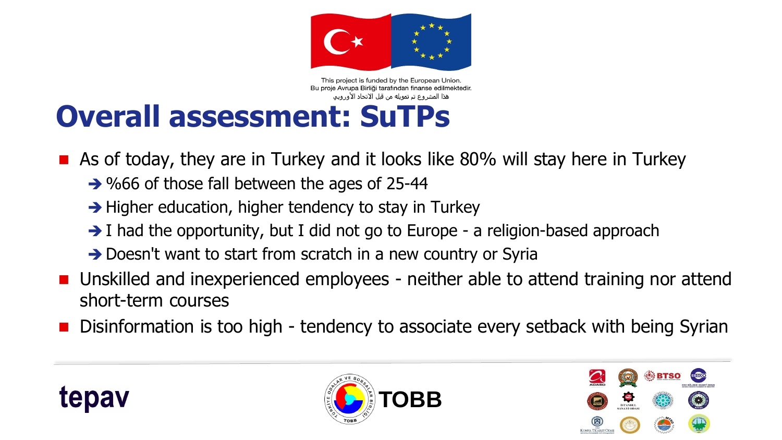

This project is funded by the European Union. Bu proje Avrupa Birliği tarafından finanse edilmektedir. هذا المشروع تم تمويله من قبل الاتحاد الأوروبي

## **Overall assessment: SuTPs**

**As of today, they are in Turkey and it looks like 80% will stay here in Turkey** 

- → %66 of those fall between the ages of 25-44
- $\rightarrow$  Higher education, higher tendency to stay in Turkey
- $\rightarrow$  I had the opportunity, but I did not go to Europe a religion-based approach
- → Doesn't want to start from scratch in a new country or Syria
- Unskilled and inexperienced employees neither able to attend training nor attend short-term courses
- Disinformation is too high tendency to associate every setback with being Syrian





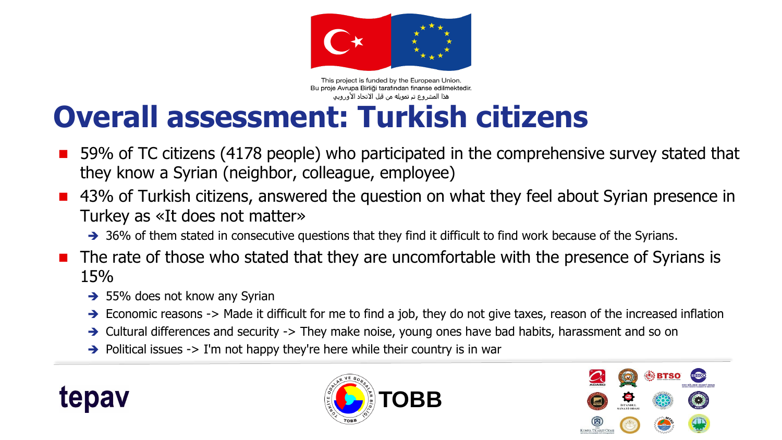

This project is funded by the European Union. Bu proje Avrupa Birliği tarafından finanse edilmektedir. هذا المشروع تم تمويله من قبل الاتحاد الأوروبي

## **Overall assessment: Turkish citizens**

- 59% of TC citizens (4178 people) who participated in the comprehensive survey stated that they know a Syrian (neighbor, colleague, employee)
- 43% of Turkish citizens, answered the question on what they feel about Syrian presence in Turkey as «It does not matter»
	- → 36% of them stated in consecutive questions that they find it difficult to find work because of the Syrians.
- The rate of those who stated that they are uncomfortable with the presence of Syrians is 15%
	- $\rightarrow$  55% does not know any Syrian
	- $\rightarrow$  Economic reasons -> Made it difficult for me to find a job, they do not give taxes, reason of the increased inflation
	- $\rightarrow$  Cultural differences and security -> They make noise, young ones have bad habits, harassment and so on
	- $\rightarrow$  Political issues  $\rightarrow$  I'm not happy they're here while their country is in war





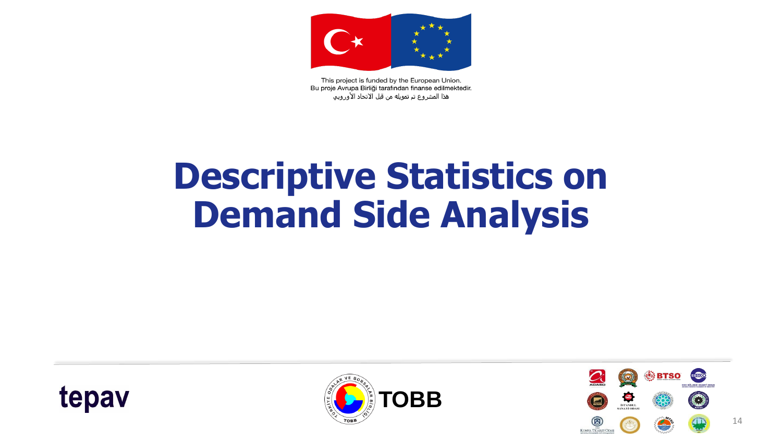

This project is funded by the European Union. Bu proje Avrupa Birliği tarafından finanse edilmektedir. هذا المشروع تم تمويله من قبل الاتحاد الأوروبي

# **Descriptive Statistics on Demand Side Analysis**





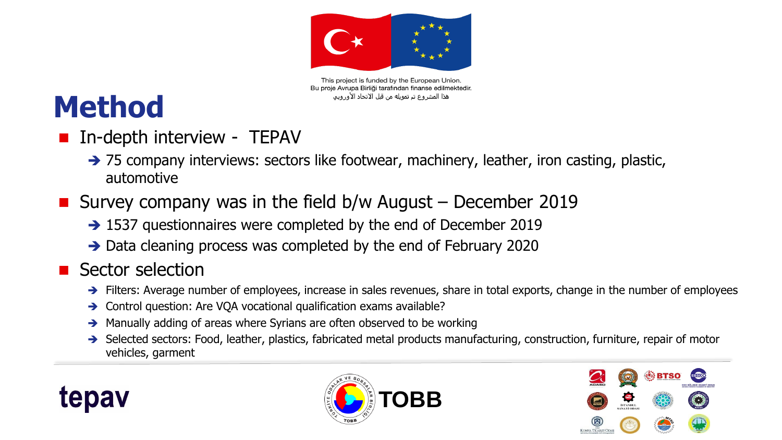

This project is funded by the European Union. Bu proje Avrupa Birliği tarafından finanse edilmektedir. هذا المشروع تم تمويله من قبل الاتحاد الأوروبي

## **Method**

- In-depth interview TEPAV
	- → 75 company interviews: sectors like footwear, machinery, leather, iron casting, plastic, automotive
- Survey company was in the field  $b/w$  August December 2019
	- → 1537 questionnaires were completed by the end of December 2019
	- → Data cleaning process was completed by the end of February 2020

#### **Sector selection**

- $\rightarrow$  Filters: Average number of employees, increase in sales revenues, share in total exports, change in the number of employees
- Control question: Are VQA vocational qualification exams available?
- Manually adding of areas where Syrians are often observed to be working
- Selected sectors: Food, leather, plastics, fabricated metal products manufacturing, construction, furniture, repair of motor vehicles, garment





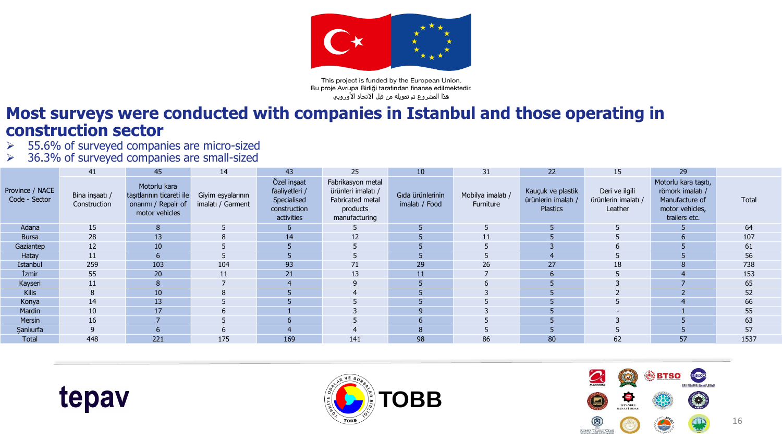

This project is funded by the European Union. Bu proje Avrupa Birliği tarafından finanse edilmektedir. هذا المشروع تم تمويله من قبل الاتحاد الأوروبي ُ

#### **Most surveys were conducted with companies in Istanbul and those operating in construction sector**<br>  $\geq 55.6\%$  of surveyed company

- 55.6% of surveyed companies are micro-sized
- 36.3% of surveyed companies are small-sized

|                                  | 41                             | 45                                                                                 | 14                                     | 43                                                                         | 25                                                                                       | 10                                 | 31                             | 22                                                   | 15                                               | 29                                                                                             |       |
|----------------------------------|--------------------------------|------------------------------------------------------------------------------------|----------------------------------------|----------------------------------------------------------------------------|------------------------------------------------------------------------------------------|------------------------------------|--------------------------------|------------------------------------------------------|--------------------------------------------------|------------------------------------------------------------------------------------------------|-------|
| Province / NACE<br>Code - Sector | Bina inşaatı /<br>Construction | Motorlu kara<br>taşıtlarının ticareti ile<br>onarimi / Repair of<br>motor vehicles | Giyim eşyalarının<br>imalatı / Garment | Özel inşaat<br>faaliyetleri /<br>Specialised<br>construction<br>activities | Fabrikasyon metal<br>ürünleri imalatı /<br>Fabricated metal<br>products<br>manufacturing | Gıda ürünlerinin<br>imalatı / Food | Mobilya imalatı /<br>Furniture | Kauçuk ve plastik<br>ürünlerin imalatı /<br>Plastics | Deri ve ilgili<br>ürünlerin imalatı /<br>Leather | Motorlu kara taşıtı,<br>römork imalatı /<br>Manufacture of<br>motor vehicles,<br>trailers etc. | Total |
| Adana                            | 15                             | 8                                                                                  |                                        |                                                                            |                                                                                          | 5                                  |                                |                                                      |                                                  |                                                                                                | 64    |
| <b>Bursa</b>                     | 28                             | 13                                                                                 | 8                                      | 14                                                                         | 12                                                                                       |                                    | 11                             |                                                      |                                                  | 6                                                                                              | 107   |
| Gaziantep                        | 12                             | 10                                                                                 |                                        |                                                                            |                                                                                          |                                    |                                |                                                      |                                                  |                                                                                                | 61    |
| Hatay                            | 11                             | <sub>b</sub>                                                                       |                                        |                                                                            |                                                                                          |                                    |                                |                                                      |                                                  |                                                                                                | 56    |
| İstanbul                         | 259                            | 103                                                                                | 104                                    | 93                                                                         | 71                                                                                       | 29                                 | 26                             | 27                                                   | 18                                               | 8                                                                                              | 738   |
| <i><u><b>Izmir</b></u></i>       | 55                             | 20                                                                                 | 11                                     | 21                                                                         | 13                                                                                       | 11                                 |                                | 6                                                    |                                                  | $\overline{4}$                                                                                 | 153   |
| Kayseri                          | 11                             |                                                                                    |                                        |                                                                            |                                                                                          |                                    |                                |                                                      |                                                  |                                                                                                | 65    |
| <b>Kilis</b>                     | 8                              | 10                                                                                 | 8                                      |                                                                            |                                                                                          |                                    |                                |                                                      |                                                  | $\overline{\phantom{a}}$                                                                       | 52    |
| Konya                            | 14                             | 13 <sup>°</sup>                                                                    |                                        |                                                                            |                                                                                          |                                    |                                |                                                      |                                                  |                                                                                                | 66    |
| Mardin                           | 10                             | 17                                                                                 | 6                                      |                                                                            |                                                                                          | $\mathbf{q}$                       |                                |                                                      |                                                  |                                                                                                | 55    |
| Mersin                           | 16                             |                                                                                    |                                        |                                                                            |                                                                                          | 6                                  |                                |                                                      |                                                  |                                                                                                | 63    |
| <b>Şanlıurfa</b>                 | 9                              |                                                                                    | 6                                      |                                                                            |                                                                                          | 8                                  |                                |                                                      |                                                  |                                                                                                | 57    |
| Total                            | 448                            | 221                                                                                | 175                                    | 169                                                                        | 141                                                                                      | 98                                 | 86                             | 80                                                   | 62                                               | 57                                                                                             | 1537  |





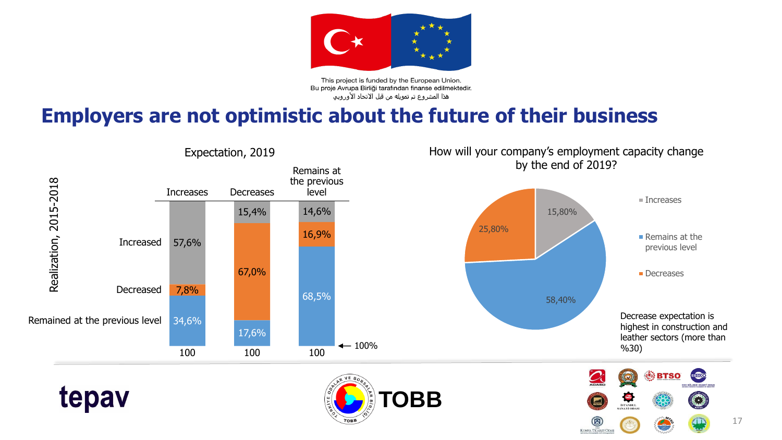

This project is funded by the European Union. Bu proje Avrupa Birliği tarafından finanse edilmektedir. هذا المشروع تم تمويله من قبل الاتحاد الأوروبي

#### **Employers are not optimistic about the future of their business**



KONYA TICARET ODA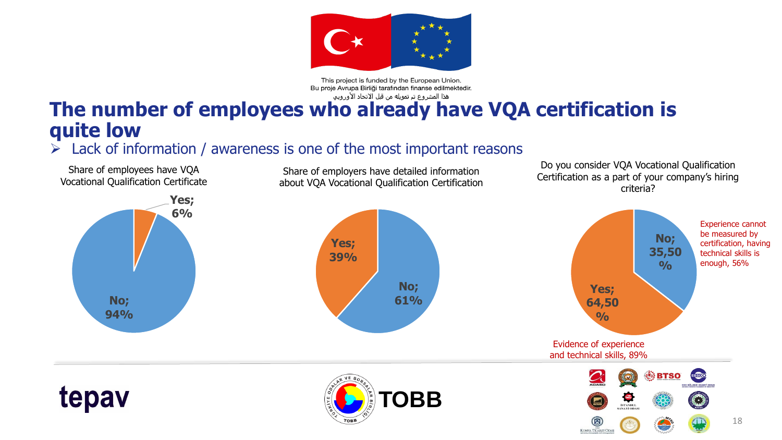

This project is funded by the European Union.

Bu proje Avrupa Birliği tarafından finanse edilmektedir. **The number of employees who already have VQA certification is quite low**

#### $\triangleright$  Lack of information / awareness is one of the most important reasons

Share of employees have VQA Vocational Qualification Certificate

Share of employers have detailed information about VQA Vocational Qualification Certification

Do you consider VQA Vocational Qualification Certification as a part of your company's hiring criteria?

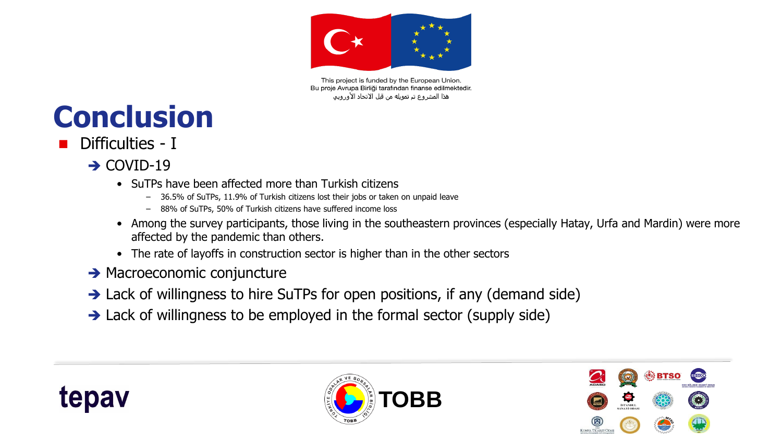

This project is funded by the European Union. Bu proje Avrupa Birliği tarafından finanse edilmektedir. هذا المشروع تم تمويله من قبل الاتحاد الأوروبي

# **Conclusion**

- Difficulties I
	- $\rightarrow$  COVID-19
		- SuTPs have been affected more than Turkish citizens
			- 36.5% of SuTPs, 11.9% of Turkish citizens lost their jobs or taken on unpaid leave
			- 88% of SuTPs, 50% of Turkish citizens have suffered income loss
		- Among the survey participants, those living in the southeastern provinces (especially Hatay, Urfa and Mardin) were more affected by the pandemic than others.
		- The rate of layoffs in construction sector is higher than in the other sectors
	- $\rightarrow$  Macroeconomic conjuncture
	- → Lack of willingness to hire SuTPs for open positions, if any (demand side)
	- $\rightarrow$  Lack of willingness to be employed in the formal sector (supply side)





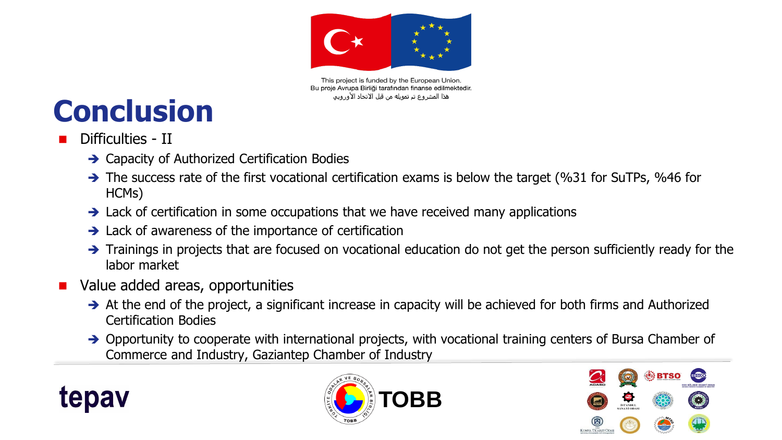

This project is funded by the European Union. Bu proje Avrupa Birliği tarafından finanse edilmektedir. هذا المشروع تم تمويله من قبل الانحاد الأوروبي

# **Conclusion**

- Difficulties II
	- **→ Capacity of Authorized Certification Bodies**
	- $\rightarrow$  The success rate of the first vocational certification exams is below the target (%31 for SuTPs, %46 for HCMs)
	- $\rightarrow$  Lack of certification in some occupations that we have received many applications
	- $\rightarrow$  Lack of awareness of the importance of certification
	- $\rightarrow$  Trainings in projects that are focused on vocational education do not get the person sufficiently ready for the labor market
- Value added areas, opportunities
	- $\rightarrow$  At the end of the project, a significant increase in capacity will be achieved for both firms and Authorized Certification Bodies
	- → Opportunity to cooperate with international projects, with vocational training centers of Bursa Chamber of Commerce and Industry, Gaziantep Chamber of Industry